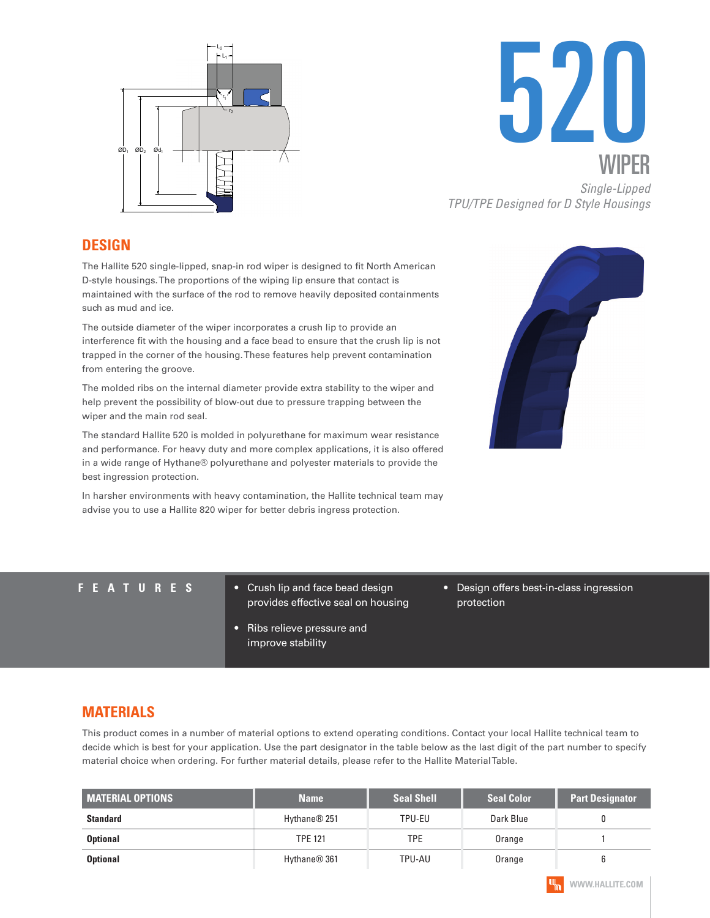



*TPU/TPE Designed for D Style Housings*

#### **DESIGN**

The Hallite 520 single-lipped, snap-in rod wiper is designed to fit North American D-style housings. The proportions of the wiping lip ensure that contact is maintained with the surface of the rod to remove heavily deposited containments such as mud and ice.

The outside diameter of the wiper incorporates a crush lip to provide an interference fit with the housing and a face bead to ensure that the crush lip is not trapped in the corner of the housing. These features help prevent contamination from entering the groove.

The molded ribs on the internal diameter provide extra stability to the wiper and help prevent the possibility of blow-out due to pressure trapping between the wiper and the main rod seal.

The standard Hallite 520 is molded in polyurethane for maximum wear resistance and performance. For heavy duty and more complex applications, it is also offered in a wide range of Hythane® polyurethane and polyester materials to provide the best ingression protection.

In harsher environments with heavy contamination, the Hallite technical team may advise you to use a Hallite 820 wiper for better debris ingress protection.



- **FEATURES** Crush lip and face bead design provides effective seal on housing
	- Ribs relieve pressure and improve stability
- Design offers best-in-class ingression protection

### **MATERIALS**

This product comes in a number of material options to extend operating conditions. Contact your local Hallite technical team to decide which is best for your application. Use the part designator in the table below as the last digit of the part number to specify material choice when ordering. For further material details, please refer to the Hallite Material Table.

| <b>MATERIAL OPTIONS</b> | <b>Name</b>              | <b>Seal Shell</b> | <b>Seal Color</b> | <b>Part Designator</b> |
|-------------------------|--------------------------|-------------------|-------------------|------------------------|
| <b>Standard</b>         | Hythane <sup>®</sup> 251 | TPU-EU            | Dark Blue         |                        |
| <b>Optional</b>         | <b>TPE 121</b>           | TPE               | Orange            |                        |
| <b>Optional</b>         | Hythane <sup>®</sup> 361 | TPU-AU            | Orange            |                        |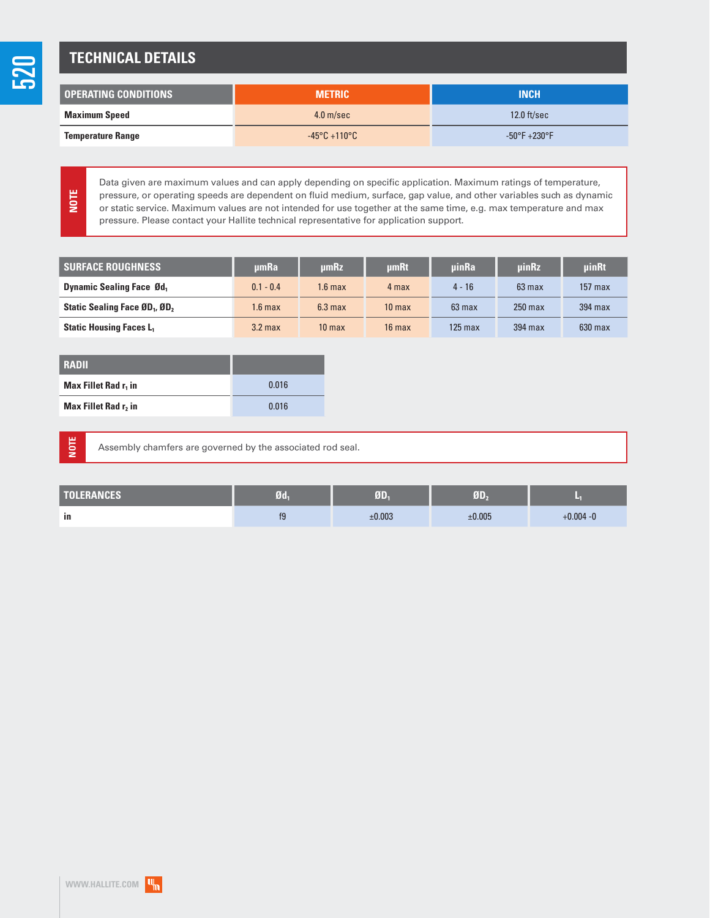## **TECHNICAL DETAILS**

| l operating conditions ' | <b>METRIC</b>                     | <b>INCH</b>                      |
|--------------------------|-----------------------------------|----------------------------------|
| <b>Maximum Speed</b>     | $4.0$ m/sec                       | $12.0$ ft/sec                    |
| <b>Temperature Range</b> | $-45^{\circ}$ C +110 $^{\circ}$ C | $-50^{\circ}$ F $+230^{\circ}$ F |

**NOTE**

520

Data given are maximum values and can apply depending on specific application. Maximum ratings of temperature, pressure, or operating speeds are dependent on fluid medium, surface, gap value, and other variables such as dynamic or static service. Maximum values are not intended for use together at the same time, e.g. max temperature and max pressure. Please contact your Hallite technical representative for application support.

| <b>SURFACE ROUGHNESS</b>                              | umRa               | µmRz               | umRt              | uinRa            | <b>uinRz</b> | <b>uinRt</b> |
|-------------------------------------------------------|--------------------|--------------------|-------------------|------------------|--------------|--------------|
| <b>Dynamic Sealing Face Ød</b> ,                      | $0.1 - 0.4$        | 1.6 max            | 4 max             | $4 - 16$         | $63$ max     | $157$ max    |
| Static Sealing Face ØD <sub>1</sub> , ØD <sub>2</sub> | 1.6 <sub>max</sub> | 6.3 <sub>max</sub> | 10 <sub>max</sub> | $63 \text{ max}$ | $250$ max    | $394$ max    |
| <b>Static Housing Faces L</b>                         | $3.2$ max          | 10 <sub>max</sub>  | $16$ max          | $125$ max        | 394 max      | $630$ max    |

| <b>RADII</b>                     |       |
|----------------------------------|-------|
| Max Fillet Rad r <sub>1</sub> in | 0.016 |
| Max Fillet Rad r, in             | 0.016 |

**NOTE**

Assembly chamfers are governed by the associated rod seal.

| <b>TOLERANCES</b> | Ød- | ØD.    | 帀      |              |
|-------------------|-----|--------|--------|--------------|
| in                | 10  | ±0.003 | ±0.005 | $+0.004 - 0$ |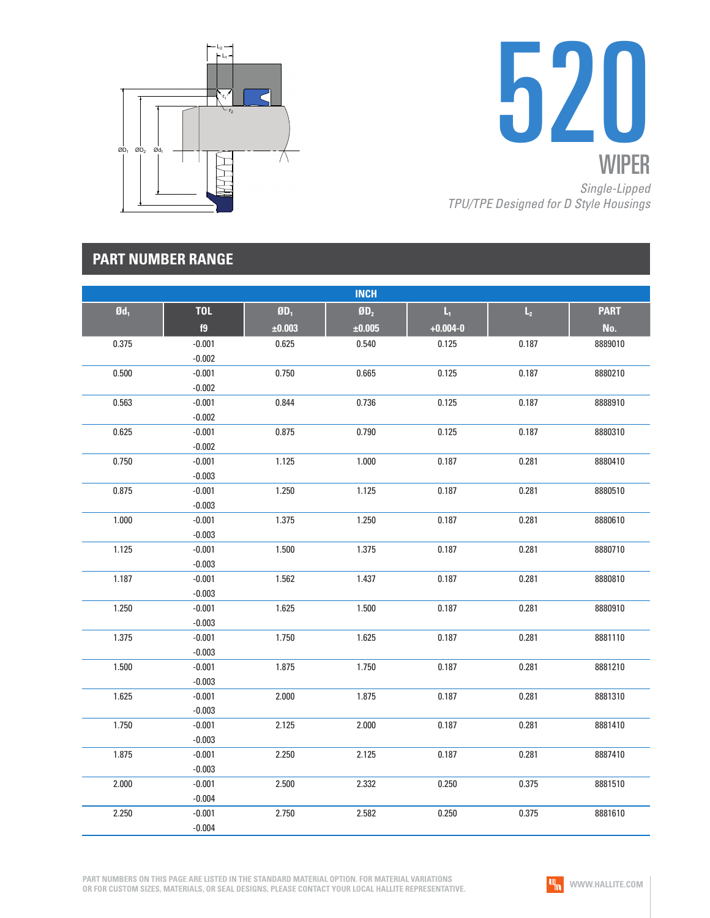



|                   |            |        | <b>INCH</b>     |              |                |             |
|-------------------|------------|--------|-----------------|--------------|----------------|-------------|
| $\mathfrak{gd}_1$ | <b>TOL</b> | $ØD_1$ | ØD <sub>2</sub> | $L_1$        | $\mathsf{L}_2$ | <b>PART</b> |
|                   | f9         | ±0.003 | ±0.005          | $+0.004 - 0$ |                | No.         |
| 0.375             | $-0.001$   | 0.625  | 0.540           | 0.125        | 0.187          | 8889010     |
|                   | $-0.002$   |        |                 |              |                |             |
| 0.500             | $-0.001$   | 0.750  | 0.665           | 0.125        | 0.187          | 8880210     |
|                   | $-0.002$   |        |                 |              |                |             |
| 0.563             | $-0.001$   | 0.844  | 0.736           | 0.125        | 0.187          | 8888910     |
|                   | $-0.002$   |        |                 |              |                |             |
| 0.625             | $-0.001$   | 0.875  | 0.790           | 0.125        | 0.187          | 8880310     |
|                   | $-0.002$   |        |                 |              |                |             |
| 0.750             | $-0.001$   | 1.125  | 1.000           | 0.187        | 0.281          | 8880410     |
|                   | $-0.003$   |        |                 |              |                |             |
| 0.875             | $-0.001$   | 1.250  | 1.125           | 0.187        | 0.281          | 8880510     |
|                   | $-0.003$   |        |                 |              |                |             |
| 1.000             | $-0.001$   | 1.375  | 1.250           | 0.187        | 0.281          | 8880610     |
|                   | $-0.003$   |        |                 |              |                |             |
| 1.125             | $-0.001$   | 1.500  | 1.375           | 0.187        | 0.281          | 8880710     |
|                   | $-0.003$   |        |                 |              |                |             |
| 1.187             | $-0.001$   | 1.562  | 1.437           | 0.187        | 0.281          | 8880810     |
|                   | $-0.003$   |        |                 |              |                |             |
| 1.250             | $-0.001$   | 1.625  | 1.500           | 0.187        | 0.281          | 8880910     |
|                   | $-0.003$   |        |                 |              |                |             |
| 1.375             | $-0.001$   | 1.750  | 1.625           | 0.187        | 0.281          | 8881110     |
|                   | $-0.003$   |        |                 |              |                |             |
| 1.500             | $-0.001$   | 1.875  | 1.750           | 0.187        | 0.281          | 8881210     |
|                   | $-0.003$   |        |                 |              |                |             |
| 1.625             | $-0.001$   | 2.000  | 1.875           | 0.187        | 0.281          | 8881310     |
|                   | $-0.003$   |        |                 |              |                |             |
| 1.750             | $-0.001$   | 2.125  | 2.000           | 0.187        | 0.281          | 8881410     |
|                   | $-0.003$   |        |                 |              |                |             |
| 1.875             | $-0.001$   | 2.250  | 2.125           | 0.187        | 0.281          | 8887410     |
|                   | $-0.003$   |        |                 |              |                |             |
| 2.000             | $-0.001$   | 2.500  | 2.332           | 0.250        | 0.375          | 8881510     |
|                   | $-0.004$   |        |                 |              |                |             |
| 2.250             | $-0.001$   | 2.750  | 2.582           | 0.250        | 0.375          | 8881610     |
|                   | $-0.004$   |        |                 |              |                |             |

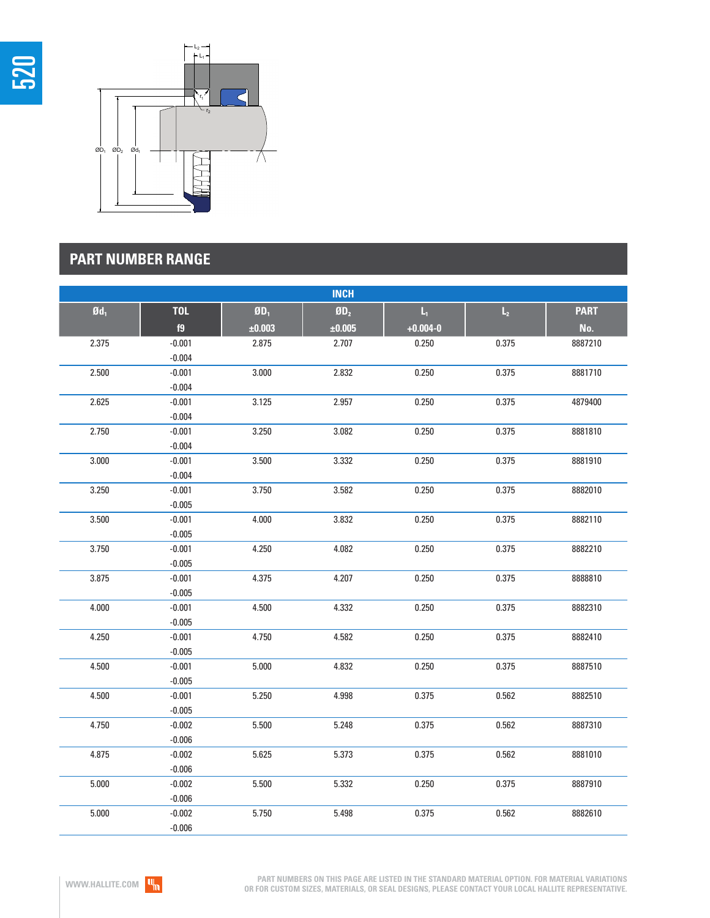



|                   |            |          | <b>INCH</b> |                         |                |             |
|-------------------|------------|----------|-------------|-------------------------|----------------|-------------|
| $\mathfrak{gd}_1$ | <b>TOL</b> | $$0D_1$$ | $$0D_2$$    | $\mathsf{L}_\mathrm{I}$ | $\mathsf{L}_2$ | <b>PART</b> |
|                   | f9         | ±0.003   | ±0.005      | $+0.004 - 0$            |                | No.         |
| 2.375             | $-0.001$   | 2.875    | 2.707       | 0.250                   | 0.375          | 8887210     |
|                   | $-0.004$   |          |             |                         |                |             |
| 2.500             | $-0.001$   | 3.000    | 2.832       | 0.250                   | 0.375          | 8881710     |
|                   | $-0.004$   |          |             |                         |                |             |
| 2.625             | $-0.001$   | 3.125    | 2.957       | 0.250                   | 0.375          | 4879400     |
|                   | $-0.004$   |          |             |                         |                |             |
| 2.750             | $-0.001$   | 3.250    | 3.082       | 0.250                   | 0.375          | 8881810     |
|                   | $-0.004$   |          |             |                         |                |             |
| 3.000             | $-0.001$   | 3.500    | 3.332       | 0.250                   | 0.375          | 8881910     |
|                   | $-0.004$   |          |             |                         |                |             |
| 3.250             | $-0.001$   | 3.750    | 3.582       | 0.250                   | 0.375          | 8882010     |
|                   | $-0.005$   |          |             |                         |                |             |
| 3.500             | $-0.001$   | 4.000    | 3.832       | 0.250                   | 0.375          | 8882110     |
|                   | $-0.005$   |          |             |                         |                |             |
| 3.750             | $-0.001$   | 4.250    | 4.082       | 0.250                   | 0.375          | 8882210     |
|                   | $-0.005$   |          |             |                         |                |             |
| 3.875             | $-0.001$   | 4.375    | 4.207       | 0.250                   | 0.375          | 8888810     |
|                   | $-0.005$   |          |             |                         |                |             |
| 4.000             | $-0.001$   | 4.500    | 4.332       | 0.250                   | 0.375          | 8882310     |
|                   | $-0.005$   |          |             |                         |                |             |
| 4.250             | $-0.001$   | 4.750    | 4.582       | 0.250                   | 0.375          | 8882410     |
|                   | $-0.005$   |          |             |                         |                |             |
| 4.500             | $-0.001$   | 5.000    | 4.832       | 0.250                   | 0.375          | 8887510     |
|                   | $-0.005$   |          |             |                         |                |             |
| 4.500             | $-0.001$   | 5.250    | 4.998       | 0.375                   | 0.562          | 8882510     |
|                   | $-0.005$   |          |             |                         |                |             |
| 4.750             | $-0.002$   | 5.500    | 5.248       | 0.375                   | 0.562          | 8887310     |
|                   | $-0.006$   |          |             |                         |                |             |
| 4.875             | $-0.002$   | 5.625    | 5.373       | 0.375                   | 0.562          | 8881010     |
|                   | $-0.006$   |          |             |                         |                |             |
| 5.000             | $-0.002$   | 5.500    | 5.332       | 0.250                   | 0.375          | 8887910     |
|                   | $-0.006$   |          |             |                         |                |             |
| 5.000             | $-0.002$   | 5.750    | 5.498       | 0.375                   | 0.562          | 8882610     |
|                   | $-0.006$   |          |             |                         |                |             |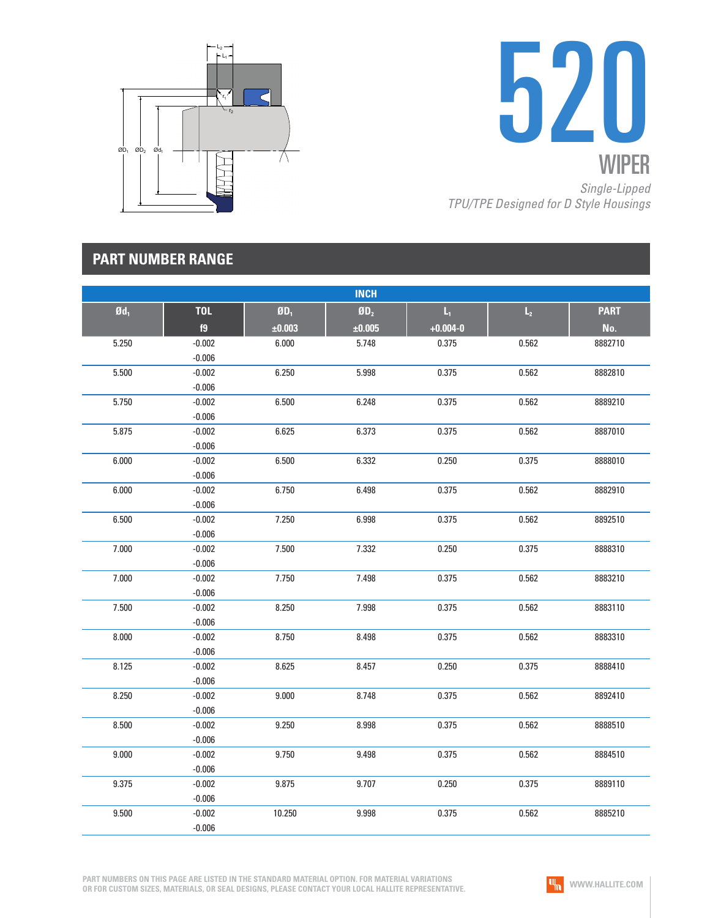



|                   |            |         | <b>INCH</b>     |                         |                |             |
|-------------------|------------|---------|-----------------|-------------------------|----------------|-------------|
| $\mathfrak{gd}_1$ | <b>TOL</b> | $$D_1$$ | ØD <sub>2</sub> | $\mathsf{L}_\mathsf{I}$ | $\mathsf{L}_2$ | <b>PART</b> |
|                   | f9         | ±0.003  | $\pm 0.005$     | $+0.004 - 0$            |                | No.         |
| 5.250             | $-0.002$   | 6.000   | 5.748           | 0.375                   | 0.562          | 8882710     |
|                   | $-0.006$   |         |                 |                         |                |             |
| 5.500             | $-0.002$   | 6.250   | 5.998           | 0.375                   | 0.562          | 8882810     |
|                   | $-0.006$   |         |                 |                         |                |             |
| 5.750             | $-0.002$   | 6.500   | 6.248           | 0.375                   | 0.562          | 8889210     |
|                   | $-0.006$   |         |                 |                         |                |             |
| 5.875             | $-0.002$   | 6.625   | 6.373           | 0.375                   | 0.562          | 8887010     |
|                   | $-0.006$   |         |                 |                         |                |             |
| 6.000             | $-0.002$   | 6.500   | 6.332           | 0.250                   | 0.375          | 8888010     |
|                   | $-0.006$   |         |                 |                         |                |             |
| 6.000             | $-0.002$   | 6.750   | 6.498           | 0.375                   | 0.562          | 8882910     |
|                   | $-0.006$   |         |                 |                         |                |             |
| 6.500             | $-0.002$   | 7.250   | 6.998           | 0.375                   | 0.562          | 8892510     |
|                   | $-0.006$   |         |                 |                         |                |             |
| 7.000             | $-0.002$   | 7.500   | 7.332           | 0.250                   | 0.375          | 8888310     |
|                   | $-0.006$   |         |                 |                         |                |             |
| 7.000             | $-0.002$   | 7.750   | 7.498           | 0.375                   | 0.562          | 8883210     |
|                   | $-0.006$   |         |                 |                         |                |             |
| 7.500             | $-0.002$   | 8.250   | 7.998           | 0.375                   | 0.562          | 8883110     |
|                   | $-0.006$   |         |                 |                         |                |             |
| 8.000             | $-0.002$   | 8.750   | 8.498           | 0.375                   | 0.562          | 8883310     |
|                   | $-0.006$   |         |                 |                         |                |             |
| 8.125             | $-0.002$   | 8.625   | 8.457           | 0.250                   | 0.375          | 8888410     |
|                   | $-0.006$   |         |                 |                         |                |             |
| 8.250             | $-0.002$   | 9.000   | 8.748           | 0.375                   | 0.562          | 8892410     |
|                   | $-0.006$   |         |                 |                         |                |             |
| 8.500             | $-0.002$   | 9.250   | 8.998           | 0.375                   | 0.562          | 8888510     |
|                   | $-0.006$   |         |                 |                         |                |             |
| 9.000             | $-0.002$   | 9.750   | 9.498           | 0.375                   | 0.562          | 8884510     |
|                   | $-0.006$   |         |                 |                         |                |             |
| 9.375             | $-0.002$   | 9.875   | 9.707           | 0.250                   | 0.375          | 8889110     |
|                   | $-0.006$   |         |                 |                         |                |             |
| 9.500             | $-0.002$   | 10.250  | 9.998           | 0.375                   | 0.562          | 8885210     |
|                   | $-0.006$   |         |                 |                         |                |             |